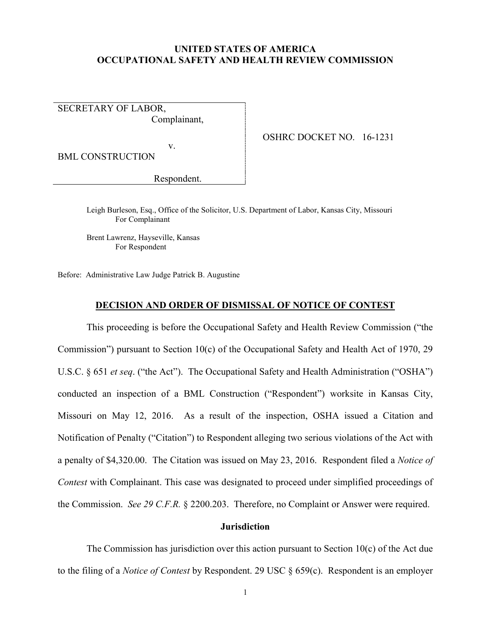### **UNITED STATES OF AMERICA OCCUPATIONAL SAFETY AND HEALTH REVIEW COMMISSION**

SECRETARY OF LABOR, Complainant,

v.

OSHRC DOCKET NO. 16-1231

BML CONSTRUCTION

Respondent.

Leigh Burleson, Esq., Office of the Solicitor, U.S. Department of Labor, Kansas City, Missouri For Complainant

Brent Lawrenz, Hayseville, Kansas For Respondent

Before: Administrative Law Judge Patrick B. Augustine

### **DECISION AND ORDER OF DISMISSAL OF NOTICE OF CONTEST**

This proceeding is before the Occupational Safety and Health Review Commission ("the Commission") pursuant to Section 10(c) of the Occupational Safety and Health Act of 1970, 29 U.S.C. § 651 *et seq*. ("the Act"). The Occupational Safety and Health Administration ("OSHA") conducted an inspection of a BML Construction ("Respondent") worksite in Kansas City, Missouri on May 12, 2016. As a result of the inspection, OSHA issued a Citation and Notification of Penalty ("Citation") to Respondent alleging two serious violations of the Act with a penalty of \$4,320.00. The Citation was issued on May 23, 2016. Respondent filed a *Notice of Contest* with Complainant. This case was designated to proceed under simplified proceedings of the Commission. *See 29 C.F.R.* § 2200.203. Therefore, no Complaint or Answer were required.

# **Jurisdiction**

The Commission has jurisdiction over this action pursuant to Section  $10(c)$  of the Act due to the filing of a *Notice of Contest* by Respondent. 29 USC § 659(c). Respondent is an employer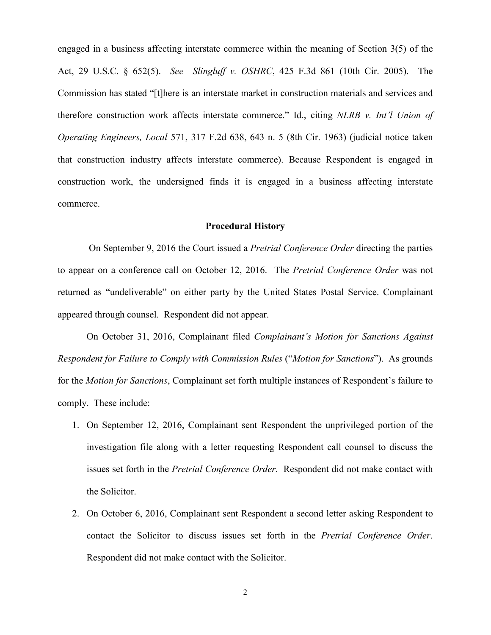engaged in a business affecting interstate commerce within the meaning of Section 3(5) of the Act, 29 U.S.C. § 652(5). *See Slingluff v. OSHRC*, 425 F.3d 861 (10th Cir. 2005). The Commission has stated "[t]here is an interstate market in construction materials and services and therefore construction work affects interstate commerce." Id., citing *NLRB v. Int'l Union of Operating Engineers, Local* 571, 317 F.2d 638, 643 n. 5 (8th Cir. 1963) (judicial notice taken that construction industry affects interstate commerce). Because Respondent is engaged in construction work, the undersigned finds it is engaged in a business affecting interstate commerce.

### **Procedural History**

 On September 9, 2016 the Court issued a *Pretrial Conference Order* directing the parties to appear on a conference call on October 12, 2016. The *Pretrial Conference Order* was not returned as "undeliverable" on either party by the United States Postal Service. Complainant appeared through counsel. Respondent did not appear.

On October 31, 2016, Complainant filed *Complainant's Motion for Sanctions Against Respondent for Failure to Comply with Commission Rules* ("*Motion for Sanctions*"). As grounds for the *Motion for Sanctions*, Complainant set forth multiple instances of Respondent's failure to comply. These include:

- 1. On September 12, 2016, Complainant sent Respondent the unprivileged portion of the investigation file along with a letter requesting Respondent call counsel to discuss the issues set forth in the *Pretrial Conference Order.* Respondent did not make contact with the Solicitor.
- 2. On October 6, 2016, Complainant sent Respondent a second letter asking Respondent to contact the Solicitor to discuss issues set forth in the *Pretrial Conference Order*. Respondent did not make contact with the Solicitor.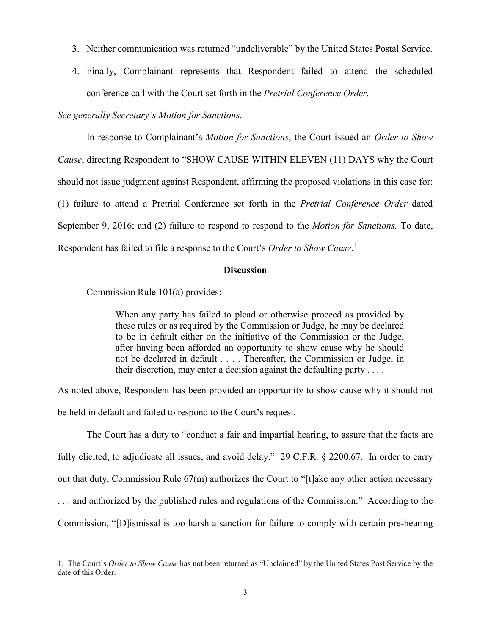- 3. Neither communication was returned "undeliverable" by the United States Postal Service.
- 4. Finally, Complainant represents that Respondent failed to attend the scheduled conference call with the Court set forth in the *Pretrial Conference Order.*

## *See generally Secretary's Motion for Sanctions.*

In response to Complainant's *Motion for Sanctions*, the Court issued an *Order to Show Cause*, directing Respondent to "SHOW CAUSE WITHIN ELEVEN (11) DAYS why the Court should not issue judgment against Respondent, affirming the proposed violations in this case for: (1) failure to attend a Pretrial Conference set forth in the *Pretrial Conference Order* dated September 9, 2016; and (2) failure to respond to respond to the *Motion for Sanctions.* To date, Respondent has failed to file a response to the Court's *Order to Show Cause*. [1](#page-2-0)

### **Discussion**

Commission Rule 101(a) provides:

 $\overline{a}$ 

When any party has failed to plead or otherwise proceed as provided by these rules or as required by the Commission or Judge, he may be declared to be in default either on the initiative of the Commission or the Judge, after having been afforded an opportunity to show cause why he should not be declared in default . . . . Thereafter, the Commission or Judge, in their discretion, may enter a decision against the defaulting party  $\dots$ .

As noted above, Respondent has been provided an opportunity to show cause why it should not be held in default and failed to respond to the Court's request.

The Court has a duty to "conduct a fair and impartial hearing, to assure that the facts are fully elicited, to adjudicate all issues, and avoid delay." 29 C.F.R. § 2200.67. In order to carry out that duty, Commission Rule  $67(m)$  authorizes the Court to "[t]ake any other action necessary . . . and authorized by the published rules and regulations of the Commission." According to the Commission, "[D]ismissal is too harsh a sanction for failure to comply with certain pre-hearing

<span id="page-2-0"></span><sup>1.</sup> The Court's *Order to Show Cause* has not been returned as "Unclaimed" by the United States Post Service by the date of this Order.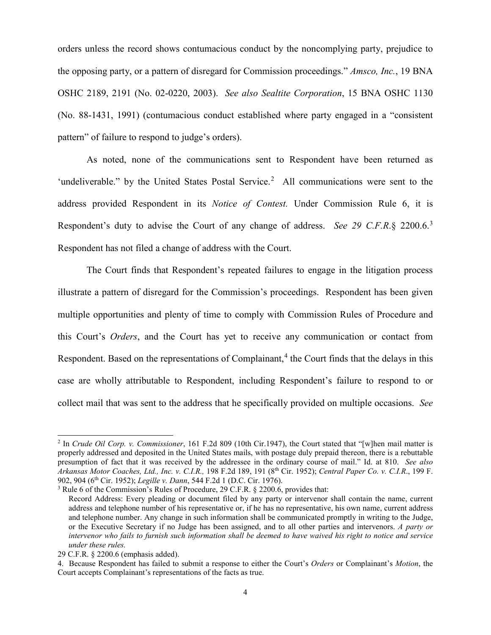orders unless the record shows contumacious conduct by the noncomplying party, prejudice to the opposing party, or a pattern of disregard for Commission proceedings." *Amsco, Inc.*, 19 BNA OSHC 2189, 2191 (No. 02-0220, 2003). *See also Sealtite Corporation*, 15 BNA OSHC 1130 (No. 88-1431, 1991) (contumacious conduct established where party engaged in a "consistent pattern" of failure to respond to judge's orders).

As noted, none of the communications sent to Respondent have been returned as 'undeliverable." by the United States Postal Service.<sup>[2](#page-3-0)</sup> All communications were sent to the address provided Respondent in its *Notice of Contest.* Under Commission Rule 6, it is Respondent's duty to advise the Court of any change of address. *See 29 C.F.R*.§ 2200.6.[3](#page-3-1) Respondent has not filed a change of address with the Court.

The Court finds that Respondent's repeated failures to engage in the litigation process illustrate a pattern of disregard for the Commission's proceedings. Respondent has been given multiple opportunities and plenty of time to comply with Commission Rules of Procedure and this Court's *Orders*, and the Court has yet to receive any communication or contact from Respondent. Based on the representations of Complainant, $4$  the Court finds that the delays in this case are wholly attributable to Respondent, including Respondent's failure to respond to or collect mail that was sent to the address that he specifically provided on multiple occasions. *See* 

 $\overline{a}$ 

<span id="page-3-0"></span><sup>2</sup> In *Crude Oil Corp. v. Commissioner*, 161 F.2d 809 (10th Cir.1947), the Court stated that "[w]hen mail matter is properly addressed and deposited in the United States mails, with postage duly prepaid thereon, there is a rebuttable presumption of fact that it was received by the addressee in the ordinary course of mail." Id. at 810. *See also Arkansas Motor Coaches, Ltd., Inc. v. C.I.R.,* 198 F.2d 189, 191 (8th Cir. 1952); *Central Paper Co. v. C.I.R*., 199 F. 902, 904 (6th Cir. 1952); *Legille v. Dann*, 544 F.2d 1 (D.C. Cir. 1976).

<span id="page-3-1"></span><sup>3</sup> Rule 6 of the Commission's Rules of Procedure, 29 C.F.R. § 2200.6, provides that:

Record Address: Every pleading or document filed by any party or intervenor shall contain the name, current address and telephone number of his representative or, if he has no representative, his own name, current address and telephone number. Any change in such information shall be communicated promptly in writing to the Judge, or the Executive Secretary if no Judge has been assigned, and to all other parties and intervenors. *A party or intervenor who fails to furnish such information shall be deemed to have waived his right to notice and service under these rules.*

<sup>29</sup> C.F.R. § 2200.6 (emphasis added).

<span id="page-3-2"></span><sup>4.</sup> Because Respondent has failed to submit a response to either the Court's *Orders* or Complainant's *Motion*, the Court accepts Complainant's representations of the facts as true.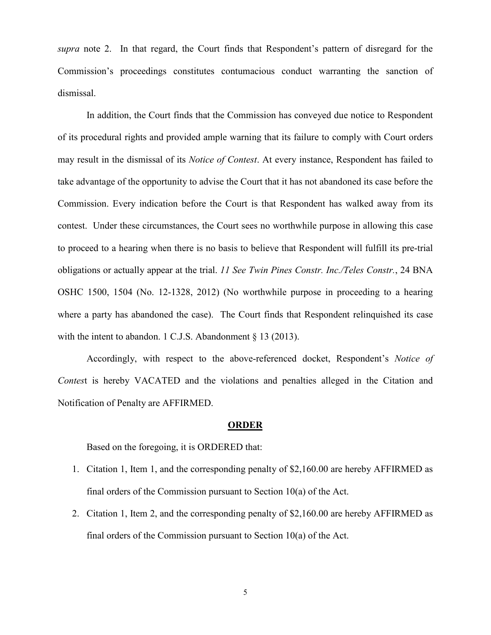*supra* note 2. In that regard, the Court finds that Respondent's pattern of disregard for the Commission's proceedings constitutes contumacious conduct warranting the sanction of dismissal.

In addition, the Court finds that the Commission has conveyed due notice to Respondent of its procedural rights and provided ample warning that its failure to comply with Court orders may result in the dismissal of its *Notice of Contest*. At every instance, Respondent has failed to take advantage of the opportunity to advise the Court that it has not abandoned its case before the Commission. Every indication before the Court is that Respondent has walked away from its contest. Under these circumstances, the Court sees no worthwhile purpose in allowing this case to proceed to a hearing when there is no basis to believe that Respondent will fulfill its pre-trial obligations or actually appear at the trial. *11 See Twin Pines Constr. Inc./Teles Constr.*, 24 BNA OSHC 1500, 1504 (No. 12-1328, 2012) (No worthwhile purpose in proceeding to a hearing where a party has abandoned the case). The Court finds that Respondent relinquished its case with the intent to abandon. 1 C.J.S. Abandonment § 13 (2013).

 Accordingly, with respect to the above-referenced docket, Respondent's *Notice of Contes*t is hereby VACATED and the violations and penalties alleged in the Citation and Notification of Penalty are AFFIRMED.

#### **ORDER**

Based on the foregoing, it is ORDERED that:

- 1. Citation 1, Item 1, and the corresponding penalty of \$2,160.00 are hereby AFFIRMED as final orders of the Commission pursuant to Section 10(a) of the Act.
- 2. Citation 1, Item 2, and the corresponding penalty of \$2,160.00 are hereby AFFIRMED as final orders of the Commission pursuant to Section 10(a) of the Act.